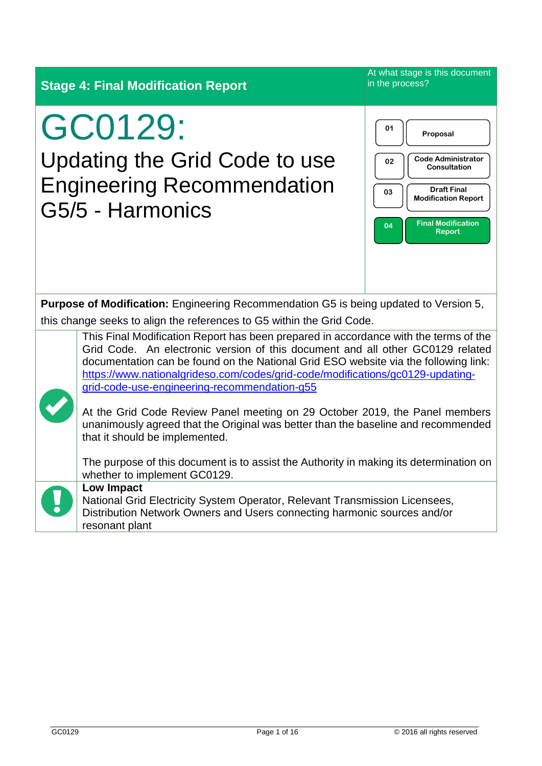| <b>Stage 4: Final Modification Report</b>                                                                                                                                                                                                                                                                                                                                                       | At what stage is this document<br>in the process?                                                                                                                                      |
|-------------------------------------------------------------------------------------------------------------------------------------------------------------------------------------------------------------------------------------------------------------------------------------------------------------------------------------------------------------------------------------------------|----------------------------------------------------------------------------------------------------------------------------------------------------------------------------------------|
| GC0129:<br>Updating the Grid Code to use<br><b>Engineering Recommendation</b><br>G5/5 - Harmonics                                                                                                                                                                                                                                                                                               | 01<br>Proposal<br><b>Code Administrator</b><br>02<br><b>Consultation</b><br><b>Draft Final</b><br>03<br><b>Modification Report</b><br><b>Final Modification</b><br>04<br><b>Report</b> |
| <b>Purpose of Modification:</b> Engineering Recommendation G5 is being updated to Version 5,<br>this change seeks to align the references to G5 within the Grid Code.                                                                                                                                                                                                                           |                                                                                                                                                                                        |
| This Final Modification Report has been prepared in accordance with the terms of the<br>Grid Code. An electronic version of this document and all other GC0129 related<br>documentation can be found on the National Grid ESO website via the following link:<br>https://www.nationalgrideso.com/codes/grid-code/modifications/gc0129-updating-<br>grid-code-use-engineering-recommendation-g55 |                                                                                                                                                                                        |
| At the Grid Code Review Panel meeting on 29 October 2019, the Panel members<br>unanimously agreed that the Original was better than the baseline and recommended<br>that it should be implemented.                                                                                                                                                                                              |                                                                                                                                                                                        |
| The purpose of this document is to assist the Authority in making its determination on<br>whether to implement GC0129.                                                                                                                                                                                                                                                                          |                                                                                                                                                                                        |
| <b>Low Impact</b><br>National Grid Electricity System Operator, Relevant Transmission Licensees,<br>Distribution Network Owners and Users connecting harmonic sources and/or<br>resonant plant                                                                                                                                                                                                  |                                                                                                                                                                                        |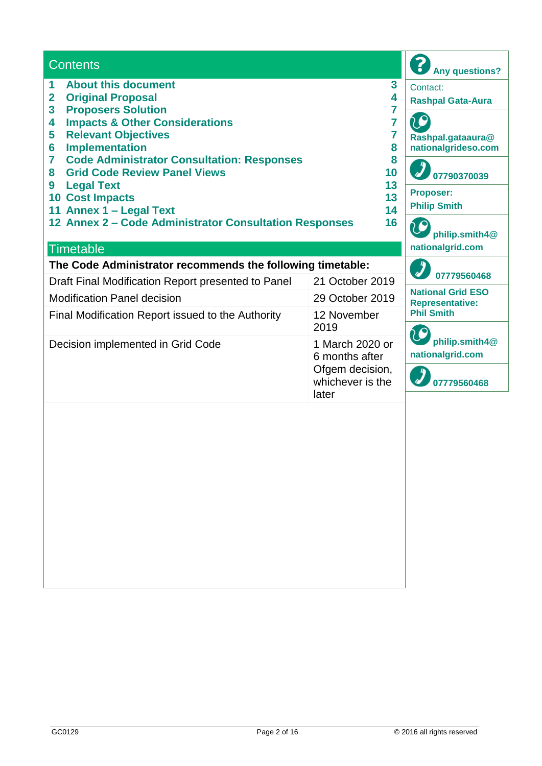| <b>Contents</b>                                                                                                              |                                              | <b>Any questions?</b>                              |
|------------------------------------------------------------------------------------------------------------------------------|----------------------------------------------|----------------------------------------------------|
| <b>About this document</b><br>1<br><b>Original Proposal</b><br>$\overline{\mathbf{2}}$<br><b>Proposers Solution</b><br>3     | Contact:<br><b>Rashpal Gata-Aura</b>         |                                                    |
| <b>Impacts &amp; Other Considerations</b><br>4<br><b>Relevant Objectives</b><br>5<br><b>Implementation</b><br>6              | Rashpal.gataaura@<br>nationalgrideso.com     |                                                    |
| <b>Code Administrator Consultation: Responses</b><br>7<br><b>Grid Code Review Panel Views</b><br>8<br><b>Legal Text</b><br>9 | 8<br>10<br>13                                | 07790370039                                        |
| <b>10 Cost Impacts</b><br>11 Annex 1 - Legal Text                                                                            | 13<br>14                                     | <b>Proposer:</b><br><b>Philip Smith</b>            |
| 12 Annex 2 - Code Administrator Consultation Responses<br><b>Timetable</b>                                                   | 16                                           | philip.smith4@<br>nationalgrid.com                 |
| The Code Administrator recommends the following timetable:                                                                   |                                              |                                                    |
| Draft Final Modification Report presented to Panel                                                                           | 21 October 2019                              | 07779560468                                        |
| <b>Modification Panel decision</b>                                                                                           | 29 October 2019                              | <b>National Grid ESO</b><br><b>Representative:</b> |
| Final Modification Report issued to the Authority                                                                            | 12 November<br>2019                          | <b>Phil Smith</b>                                  |
| Decision implemented in Grid Code                                                                                            | 1 March 2020 or<br>6 months after            | philip.smith4@<br>nationalgrid.com                 |
|                                                                                                                              | Ofgem decision,<br>whichever is the<br>later | 07779560468                                        |
|                                                                                                                              |                                              |                                                    |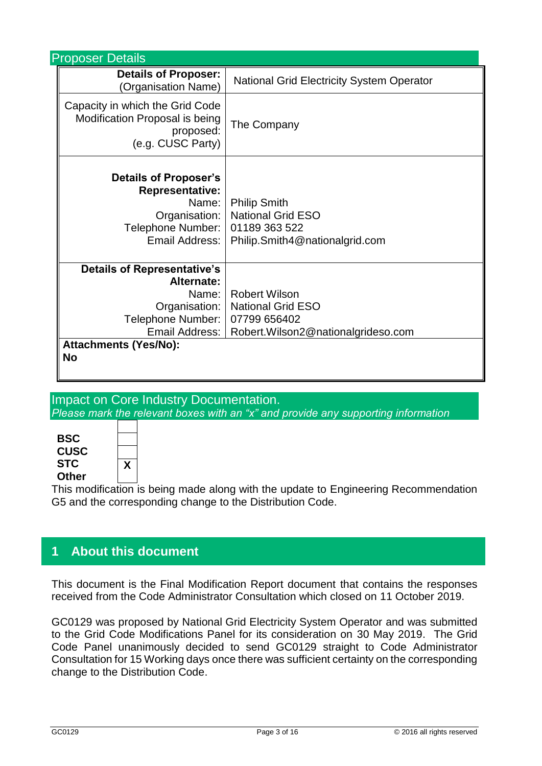| <b>Proposer Details</b>                                                                                                                            |                                                                                                                         |  |  |  |  |
|----------------------------------------------------------------------------------------------------------------------------------------------------|-------------------------------------------------------------------------------------------------------------------------|--|--|--|--|
| <b>Details of Proposer:</b><br>(Organisation Name)                                                                                                 | <b>National Grid Electricity System Operator</b>                                                                        |  |  |  |  |
| Capacity in which the Grid Code<br>Modification Proposal is being<br>proposed:<br>(e.g. CUSC Party)                                                | The Company                                                                                                             |  |  |  |  |
| <b>Details of Proposer's</b><br><b>Representative:</b><br>Organisation:  <br>Telephone Number:  <br>Email Address:                                 | Name:   Philip Smith<br><b>National Grid ESO</b><br>01189 363 522<br>Philip.Smith4@nationalgrid.com                     |  |  |  |  |
| <b>Details of Representative's</b><br>Alternate:<br>Name: I<br>Organisation:  <br>Telephone Number:  <br><b>Attachments (Yes/No):</b><br><b>No</b> | <b>Robert Wilson</b><br><b>National Grid ESO</b><br>07799 656402<br>Email Address:   Robert.Wilson2@nationalgrideso.com |  |  |  |  |

### Impact on Core Industry Documentation. *Please mark the relevant boxes with an "x" and provide any supporting information*



**X**

This modification is being made along with the update to Engineering Recommendation G5 and the corresponding change to the Distribution Code.

## **1 About this document**

This document is the Final Modification Report document that contains the responses received from the Code Administrator Consultation which closed on 11 October 2019.

GC0129 was proposed by National Grid Electricity System Operator and was submitted to the Grid Code Modifications Panel for its consideration on 30 May 2019. The Grid Code Panel unanimously decided to send GC0129 straight to Code Administrator Consultation for 15 Working days once there was sufficient certainty on the corresponding change to the Distribution Code.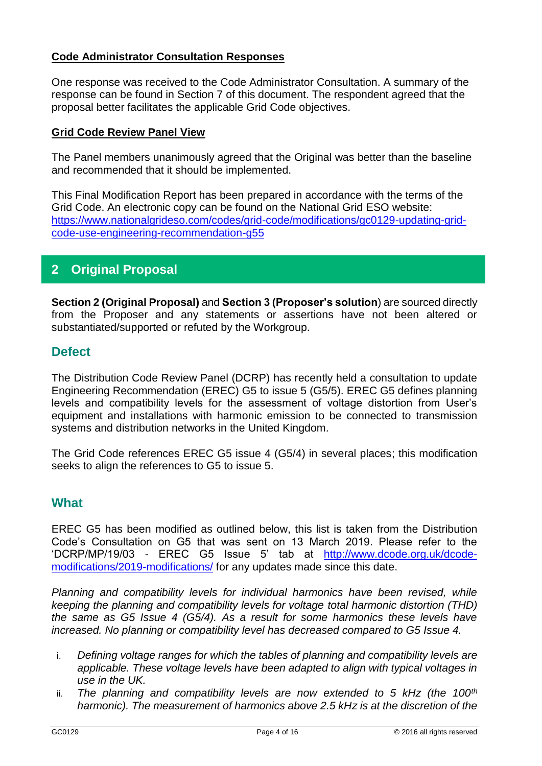#### **Code Administrator Consultation Responses**

One response was received to the Code Administrator Consultation. A summary of the response can be found in Section 7 of this document. The respondent agreed that the proposal better facilitates the applicable Grid Code objectives.

#### **Grid Code Review Panel View**

The Panel members unanimously agreed that the Original was better than the baseline and recommended that it should be implemented.

This Final Modification Report has been prepared in accordance with the terms of the Grid Code. An electronic copy can be found on the National Grid ESO website: [https://www.nationalgrideso.com/codes/grid-code/modifications/gc0129-updating-grid](https://www.nationalgrideso.com/codes/grid-code/modifications/gc0129-updating-grid-code-use-engineering-recommendation-g55)[code-use-engineering-recommendation-g55](https://www.nationalgrideso.com/codes/grid-code/modifications/gc0129-updating-grid-code-use-engineering-recommendation-g55)

## **2 Original Proposal**

**Section 2 (Original Proposal)** and **Section 3 (Proposer's solution**) are sourced directly from the Proposer and any statements or assertions have not been altered or substantiated/supported or refuted by the Workgroup.

#### **Defect**

The Distribution Code Review Panel (DCRP) has recently held a consultation to update Engineering Recommendation (EREC) G5 to issue 5 (G5/5). EREC G5 defines planning levels and compatibility levels for the assessment of voltage distortion from User's equipment and installations with harmonic emission to be connected to transmission systems and distribution networks in the United Kingdom.

The Grid Code references EREC G5 issue 4 (G5/4) in several places; this modification seeks to align the references to G5 to issue 5.

#### **What**

EREC G5 has been modified as outlined below, this list is taken from the Distribution Code's Consultation on G5 that was sent on 13 March 2019. Please refer to the 'DCRP/MP/19/03 - EREC G5 Issue 5' tab at [http://www.dcode.org.uk/dcode](http://www.dcode.org.uk/dcode-modifications/2019-modifications/)[modifications/2019-modifications/](http://www.dcode.org.uk/dcode-modifications/2019-modifications/) for any updates made since this date.

*Planning and compatibility levels for individual harmonics have been revised, while keeping the planning and compatibility levels for voltage total harmonic distortion (THD) the same as G5 Issue 4 (G5/4). As a result for some harmonics these levels have increased. No planning or compatibility level has decreased compared to G5 Issue 4.*

- i. *Defining voltage ranges for which the tables of planning and compatibility levels are applicable. These voltage levels have been adapted to align with typical voltages in use in the UK.*
- ii. *The planning and compatibility levels are now extended to 5 kHz (the 100th harmonic). The measurement of harmonics above 2.5 kHz is at the discretion of the*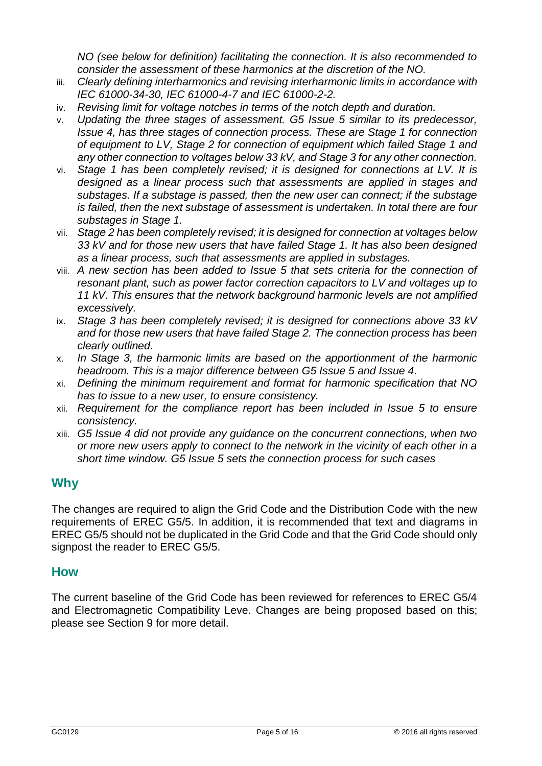*NO (see below for definition) facilitating the connection. It is also recommended to consider the assessment of these harmonics at the discretion of the NO.*

- iii. *Clearly defining interharmonics and revising interharmonic limits in accordance with IEC 61000-34-30, IEC 61000-4-7 and IEC 61000-2-2.*
- iv. *Revising limit for voltage notches in terms of the notch depth and duration.*
- v. *Updating the three stages of assessment. G5 Issue 5 similar to its predecessor, Issue 4, has three stages of connection process. These are Stage 1 for connection of equipment to LV, Stage 2 for connection of equipment which failed Stage 1 and any other connection to voltages below 33 kV, and Stage 3 for any other connection.*
- vi. *Stage 1 has been completely revised; it is designed for connections at LV. It is designed as a linear process such that assessments are applied in stages and substages. If a substage is passed, then the new user can connect; if the substage is failed, then the next substage of assessment is undertaken. In total there are four substages in Stage 1.*
- vii. *Stage 2 has been completely revised; it is designed for connection at voltages below 33 kV and for those new users that have failed Stage 1. It has also been designed as a linear process, such that assessments are applied in substages.*
- viii. *A new section has been added to Issue 5 that sets criteria for the connection of resonant plant, such as power factor correction capacitors to LV and voltages up to 11 kV. This ensures that the network background harmonic levels are not amplified excessively.*
- ix. *Stage 3 has been completely revised; it is designed for connections above 33 kV and for those new users that have failed Stage 2. The connection process has been clearly outlined.*
- x. *In Stage 3, the harmonic limits are based on the apportionment of the harmonic headroom. This is a major difference between G5 Issue 5 and Issue 4.*
- xi. *Defining the minimum requirement and format for harmonic specification that NO has to issue to a new user, to ensure consistency.*
- xii. *Requirement for the compliance report has been included in Issue 5 to ensure consistency.*
- xiii. *G5 Issue 4 did not provide any guidance on the concurrent connections, when two or more new users apply to connect to the network in the vicinity of each other in a short time window. G5 Issue 5 sets the connection process for such cases*

## **Why**

The changes are required to align the Grid Code and the Distribution Code with the new requirements of EREC G5/5. In addition, it is recommended that text and diagrams in EREC G5/5 should not be duplicated in the Grid Code and that the Grid Code should only signpost the reader to EREC G5/5.

#### **How**

The current baseline of the Grid Code has been reviewed for references to EREC G5/4 and Electromagnetic Compatibility Leve. Changes are being proposed based on this; please see Section 9 for more detail.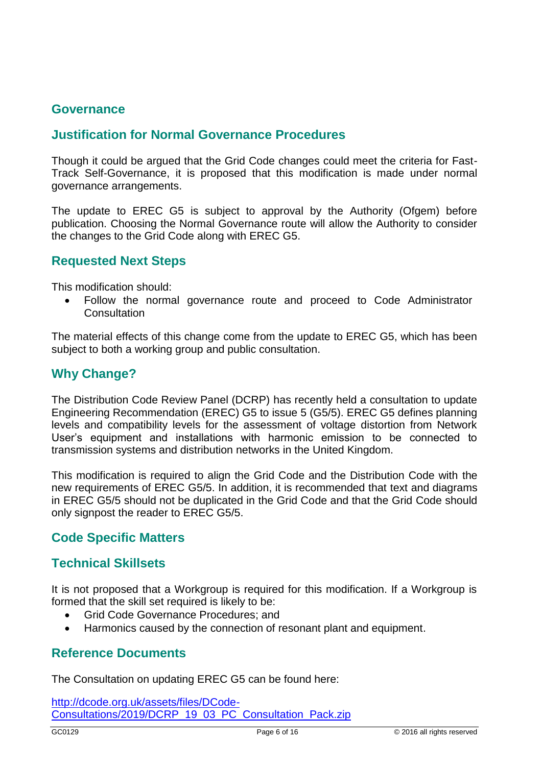### **Governance**

### **Justification for Normal Governance Procedures**

Though it could be argued that the Grid Code changes could meet the criteria for Fast-Track Self-Governance, it is proposed that this modification is made under normal governance arrangements.

The update to EREC G5 is subject to approval by the Authority (Ofgem) before publication. Choosing the Normal Governance route will allow the Authority to consider the changes to the Grid Code along with EREC G5.

#### **Requested Next Steps**

This modification should:

• Follow the normal governance route and proceed to Code Administrator **Consultation** 

The material effects of this change come from the update to EREC G5, which has been subject to both a working group and public consultation.

#### **Why Change?**

The Distribution Code Review Panel (DCRP) has recently held a consultation to update Engineering Recommendation (EREC) G5 to issue 5 (G5/5). EREC G5 defines planning levels and compatibility levels for the assessment of voltage distortion from Network User's equipment and installations with harmonic emission to be connected to transmission systems and distribution networks in the United Kingdom.

This modification is required to align the Grid Code and the Distribution Code with the new requirements of EREC G5/5. In addition, it is recommended that text and diagrams in EREC G5/5 should not be duplicated in the Grid Code and that the Grid Code should only signpost the reader to EREC G5/5.

#### **Code Specific Matters**

#### **Technical Skillsets**

It is not proposed that a Workgroup is required for this modification. If a Workgroup is formed that the skill set required is likely to be:

- Grid Code Governance Procedures; and
- Harmonics caused by the connection of resonant plant and equipment.

#### **Reference Documents**

The Consultation on updating EREC G5 can be found here:

[http://dcode.org.uk/assets/files/DCode-](http://dcode.org.uk/assets/files/DCode-Consultations/2019/DCRP_19_03_PC_Consultation_Pack.zip)[Consultations/2019/DCRP\\_19\\_03\\_PC\\_Consultation\\_Pack.zip](http://dcode.org.uk/assets/files/DCode-Consultations/2019/DCRP_19_03_PC_Consultation_Pack.zip)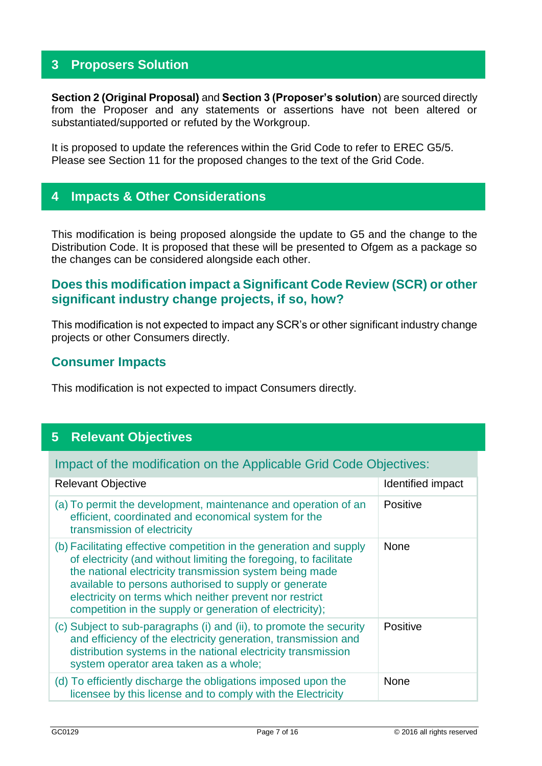## **3 Proposers Solution**

**Section 2 (Original Proposal)** and **Section 3 (Proposer's solution**) are sourced directly from the Proposer and any statements or assertions have not been altered or substantiated/supported or refuted by the Workgroup.

It is proposed to update the references within the Grid Code to refer to EREC G5/5. Please see Section 11 for the proposed changes to the text of the Grid Code.

## **4 Impacts & Other Considerations**

This modification is being proposed alongside the update to G5 and the change to the Distribution Code. It is proposed that these will be presented to Ofgem as a package so the changes can be considered alongside each other.

## **Does this modification impact a Significant Code Review (SCR) or other significant industry change projects, if so, how?**

This modification is not expected to impact any SCR's or other significant industry change projects or other Consumers directly.

#### **Consumer Impacts**

This modification is not expected to impact Consumers directly.

## **5 Relevant Objectives**

Impact of the modification on the Applicable Grid Code Objectives:

| <b>Relevant Objective</b>                                                                                                                                                                                                                                                                                                                                                           | Identified impact |
|-------------------------------------------------------------------------------------------------------------------------------------------------------------------------------------------------------------------------------------------------------------------------------------------------------------------------------------------------------------------------------------|-------------------|
| (a) To permit the development, maintenance and operation of an<br>efficient, coordinated and economical system for the<br>transmission of electricity                                                                                                                                                                                                                               | <b>Positive</b>   |
| (b) Facilitating effective competition in the generation and supply<br>of electricity (and without limiting the foregoing, to facilitate<br>the national electricity transmission system being made<br>available to persons authorised to supply or generate<br>electricity on terms which neither prevent nor restrict<br>competition in the supply or generation of electricity); | <b>None</b>       |
| (c) Subject to sub-paragraphs (i) and (ii), to promote the security<br>and efficiency of the electricity generation, transmission and<br>distribution systems in the national electricity transmission<br>system operator area taken as a whole;                                                                                                                                    | Positive          |
| (d) To efficiently discharge the obligations imposed upon the<br>licensee by this license and to comply with the Electricity                                                                                                                                                                                                                                                        | <b>None</b>       |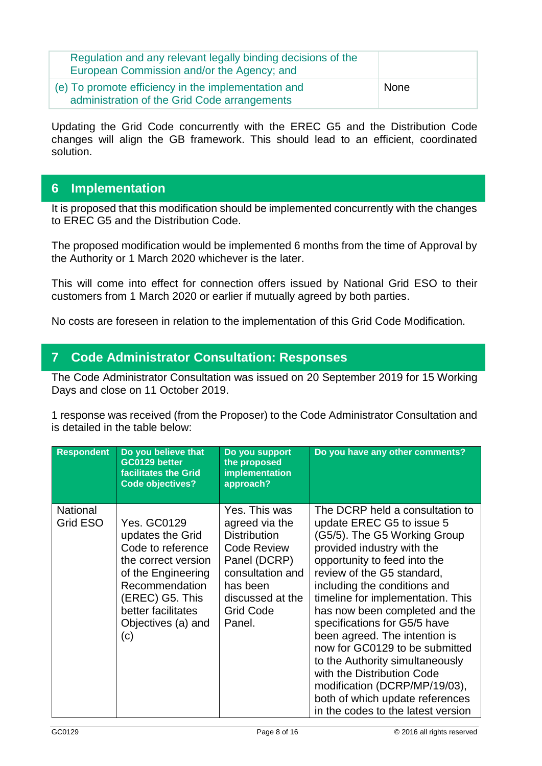| Regulation and any relevant legally binding decisions of the<br>European Commission and/or the Agency; and |             |
|------------------------------------------------------------------------------------------------------------|-------------|
| (e) To promote efficiency in the implementation and<br>administration of the Grid Code arrangements        | <b>None</b> |

Updating the Grid Code concurrently with the EREC G5 and the Distribution Code changes will align the GB framework. This should lead to an efficient, coordinated solution.

## **6 Implementation**

It is proposed that this modification should be implemented concurrently with the changes to EREC G5 and the Distribution Code.

The proposed modification would be implemented 6 months from the time of Approval by the Authority or 1 March 2020 whichever is the later.

This will come into effect for connection offers issued by National Grid ESO to their customers from 1 March 2020 or earlier if mutually agreed by both parties.

No costs are foreseen in relation to the implementation of this Grid Code Modification.

## **7 Code Administrator Consultation: Responses**

The Code Administrator Consultation was issued on 20 September 2019 for 15 Working Days and close on 11 October 2019.

1 response was received (from the Proposer) to the Code Administrator Consultation and is detailed in the table below:

| <b>Respondent</b>           | Do you believe that<br>GC0129 better<br>facilitates the Grid<br><b>Code objectives?</b>                                                                                                   | Do you support<br>the proposed<br>implementation<br>approach?                                                                                                                  | Do you have any other comments?                                                                                                                                                                                                                                                                                                                                                                                                                                                                                                                                               |
|-----------------------------|-------------------------------------------------------------------------------------------------------------------------------------------------------------------------------------------|--------------------------------------------------------------------------------------------------------------------------------------------------------------------------------|-------------------------------------------------------------------------------------------------------------------------------------------------------------------------------------------------------------------------------------------------------------------------------------------------------------------------------------------------------------------------------------------------------------------------------------------------------------------------------------------------------------------------------------------------------------------------------|
| <b>National</b><br>Grid ESO | Yes. GC0129<br>updates the Grid<br>Code to reference<br>the correct version<br>of the Engineering<br>Recommendation<br>(EREC) G5. This<br>better facilitates<br>Objectives (a) and<br>(c) | Yes. This was<br>agreed via the<br><b>Distribution</b><br><b>Code Review</b><br>Panel (DCRP)<br>consultation and<br>has been<br>discussed at the<br><b>Grid Code</b><br>Panel. | The DCRP held a consultation to<br>update EREC G5 to issue 5<br>(G5/5). The G5 Working Group<br>provided industry with the<br>opportunity to feed into the<br>review of the G5 standard,<br>including the conditions and<br>timeline for implementation. This<br>has now been completed and the<br>specifications for G5/5 have<br>been agreed. The intention is<br>now for GC0129 to be submitted<br>to the Authority simultaneously<br>with the Distribution Code<br>modification (DCRP/MP/19/03),<br>both of which update references<br>in the codes to the latest version |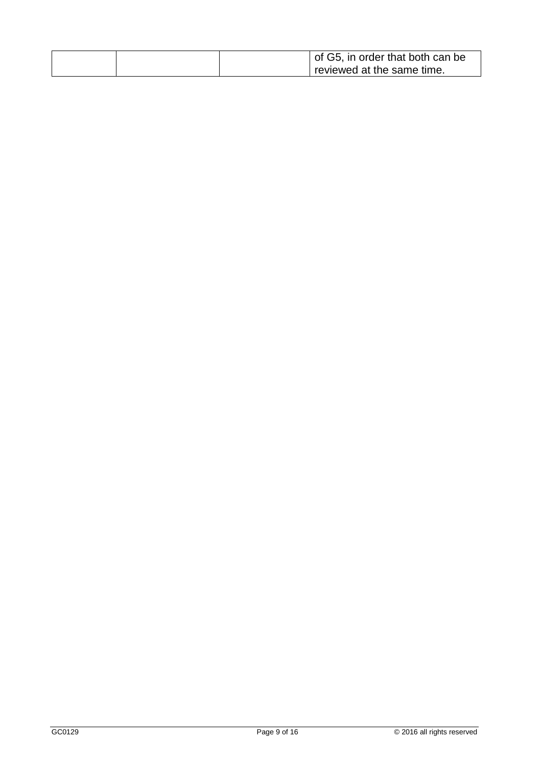| of G5, in order that both can be |
|----------------------------------|
| reviewed at the same time.       |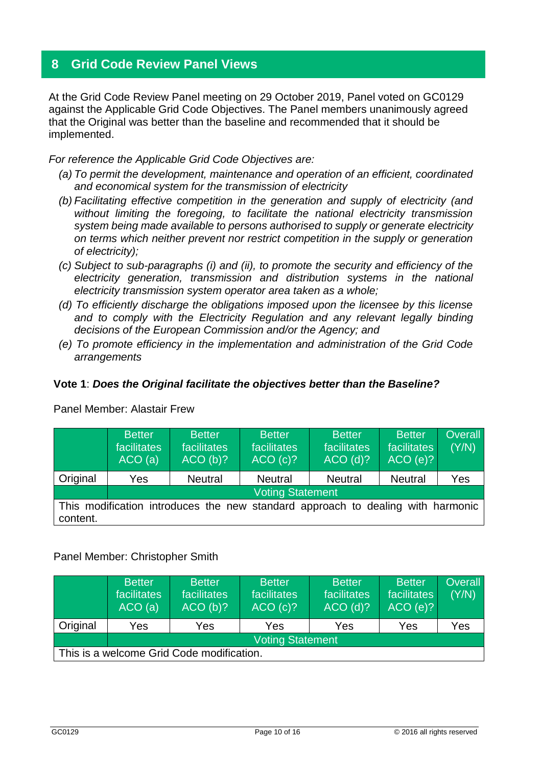## **8 Grid Code Review Panel Views**

At the Grid Code Review Panel meeting on 29 October 2019, Panel voted on GC0129 against the Applicable Grid Code Objectives. The Panel members unanimously agreed that the Original was better than the baseline and recommended that it should be implemented.

*For reference the Applicable Grid Code Objectives are:*

- *(a) To permit the development, maintenance and operation of an efficient, coordinated and economical system for the transmission of electricity*
- *(b) Facilitating effective competition in the generation and supply of electricity (and without limiting the foregoing, to facilitate the national electricity transmission system being made available to persons authorised to supply or generate electricity on terms which neither prevent nor restrict competition in the supply or generation of electricity);*
- *(c) Subject to sub-paragraphs (i) and (ii), to promote the security and efficiency of the electricity generation, transmission and distribution systems in the national electricity transmission system operator area taken as a whole;*
- *(d) To efficiently discharge the obligations imposed upon the licensee by this license*  and to comply with the Electricity Regulation and any relevant legally binding *decisions of the European Commission and/or the Agency; and*
- *(e) To promote efficiency in the implementation and administration of the Grid Code arrangements*

#### **Vote 1**: *Does the Original facilitate the objectives better than the Baseline?*

|          | <b>Better</b><br>facilitates<br>ACO(a) | <b>Better</b><br>facilitates<br>ACO(b)? | <b>Better</b><br>facilitates<br>ACO(c)?                                         | <b>Better</b><br>facilitates<br>$ACO$ (d)? | <b>Better</b><br>facilitates<br>ACO(e)? | <b>Overall</b><br>(Y/N) |
|----------|----------------------------------------|-----------------------------------------|---------------------------------------------------------------------------------|--------------------------------------------|-----------------------------------------|-------------------------|
| Original | Yes                                    | <b>Neutral</b>                          | <b>Neutral</b>                                                                  | <b>Neutral</b>                             | <b>Neutral</b>                          | Yes                     |
|          |                                        |                                         | <b>Voting Statement</b>                                                         |                                            |                                         |                         |
| content. |                                        |                                         | This modification introduces the new standard approach to dealing with harmonic |                                            |                                         |                         |

Panel Member: Alastair Frew

#### Panel Member: Christopher Smith

|                                           | <b>Better</b><br>facilitates<br>ACO(a) | <b>Better</b><br>facilitates<br>ACO(b)? | <b>Better</b><br>facilitates<br>ACO(c)? | <b>Better</b><br>facilitates<br>$ACO$ (d)? | <b>Better</b><br>facilitates<br>ACO(e)? | <b>Overall</b><br>(Y/N) |  |
|-------------------------------------------|----------------------------------------|-----------------------------------------|-----------------------------------------|--------------------------------------------|-----------------------------------------|-------------------------|--|
| Original                                  | Yes                                    | Yes                                     | Yes                                     | Yes                                        | Yes                                     | Yes                     |  |
|                                           | <b>Voting Statement</b>                |                                         |                                         |                                            |                                         |                         |  |
| This is a welcome Grid Code modification. |                                        |                                         |                                         |                                            |                                         |                         |  |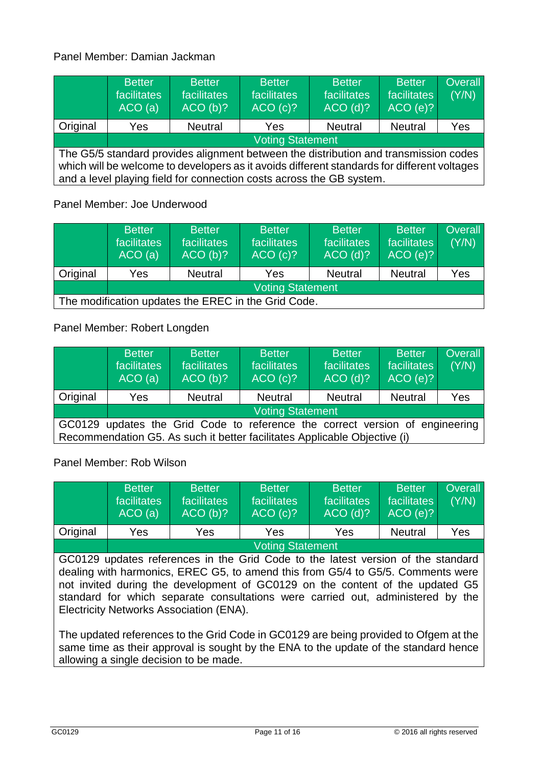#### Panel Member: Damian Jackman

|                                                                                                                                                                                                                                                             | <b>Better</b><br>facilitates<br>ACO(a) | <b>Better</b><br>facilitates<br>ACO(b)? | <b>Better</b><br>facilitates<br>ACO(C)? | <b>Better</b><br>facilitates<br>$ACO$ (d)? | <b>Better</b><br>facilitates<br>ACO(e)? | Overall<br>(Y/N) |
|-------------------------------------------------------------------------------------------------------------------------------------------------------------------------------------------------------------------------------------------------------------|----------------------------------------|-----------------------------------------|-----------------------------------------|--------------------------------------------|-----------------------------------------|------------------|
| Original                                                                                                                                                                                                                                                    | <b>Yes</b>                             | <b>Neutral</b>                          | Yes                                     | <b>Neutral</b>                             | <b>Neutral</b>                          | Yes              |
|                                                                                                                                                                                                                                                             | <b>Voting Statement</b>                |                                         |                                         |                                            |                                         |                  |
| The G5/5 standard provides alignment between the distribution and transmission codes<br>which will be welcome to developers as it avoids different standards for different voltages<br>and a level playing field for connection costs across the GB system. |                                        |                                         |                                         |                                            |                                         |                  |

Panel Member: Joe Underwood

|                                                     | <b>Better</b><br>facilitates<br>ACO(a) | <b>Better</b><br><i>facilitates</i><br>ACO(b)? | <b>Better</b><br>facilitates<br>ACO(c)? | <b>Better</b><br>facilitates<br>$ACO$ (d)? | <b>Better</b><br>facilitates<br>ACO(e)? | <b>Overall</b><br>(Y/N) |  |
|-----------------------------------------------------|----------------------------------------|------------------------------------------------|-----------------------------------------|--------------------------------------------|-----------------------------------------|-------------------------|--|
| Original                                            | Yes                                    | <b>Neutral</b>                                 | Yes                                     | <b>Neutral</b>                             | <b>Neutral</b>                          | Yes                     |  |
|                                                     | <b>Voting Statement</b>                |                                                |                                         |                                            |                                         |                         |  |
| The modification updates the EREC in the Grid Code. |                                        |                                                |                                         |                                            |                                         |                         |  |

Panel Member: Robert Longden

|                                                                                 | <b>Better</b><br>facilitates<br>ACO(a)                                    | <b>Better</b><br>facilitates<br>ACO(b)? | <b>Better</b><br>facilitates<br>ACO(c)? | <b>Better</b><br>facilitates<br>$ACO$ (d)? | <b>Better</b><br>facilitates<br>ACO(e)? | <b>Overall</b><br>(Y/N) |
|---------------------------------------------------------------------------------|---------------------------------------------------------------------------|-----------------------------------------|-----------------------------------------|--------------------------------------------|-----------------------------------------|-------------------------|
| Original                                                                        | Yes                                                                       | <b>Neutral</b>                          | <b>Neutral</b>                          | <b>Neutral</b>                             | <b>Neutral</b>                          | Yes                     |
|                                                                                 | <b>Voting Statement</b>                                                   |                                         |                                         |                                            |                                         |                         |
| GC0129<br>updates the Grid Code to reference the correct version of engineering |                                                                           |                                         |                                         |                                            |                                         |                         |
|                                                                                 | Recommendation G5. As such it better facilitates Applicable Objective (i) |                                         |                                         |                                            |                                         |                         |

Panel Member: Rob Wilson

|          | <b>Better</b><br>facilitates<br>ACO(a) | <b>Better</b><br>facilitates<br>ACO(b)? | <b>Better</b><br>facilitates<br>ACO(c)? | <b>Better</b><br>facilitates<br>$ACO$ (d)? | <b>Better</b><br>facilitates<br>ACO(e)? | <b>Overall</b><br>(Y/N) |
|----------|----------------------------------------|-----------------------------------------|-----------------------------------------|--------------------------------------------|-----------------------------------------|-------------------------|
| Original | Yes                                    | Yes                                     | Yes                                     | Yes                                        | <b>Neutral</b>                          | Yes                     |
|          | <b>Voting Statement</b>                |                                         |                                         |                                            |                                         |                         |

GC0129 updates references in the Grid Code to the latest version of the standard dealing with harmonics, EREC G5, to amend this from G5/4 to G5/5. Comments were not invited during the development of GC0129 on the content of the updated G5 standard for which separate consultations were carried out, administered by the Electricity Networks Association (ENA).

The updated references to the Grid Code in GC0129 are being provided to Ofgem at the same time as their approval is sought by the ENA to the update of the standard hence allowing a single decision to be made.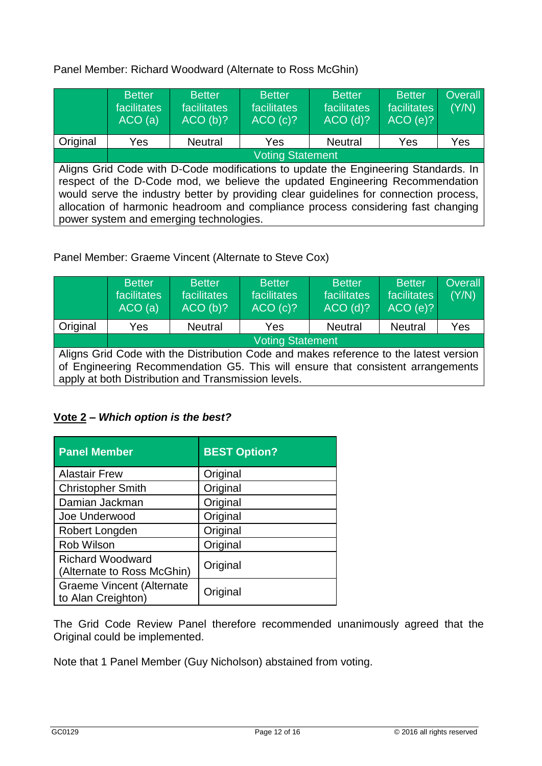Panel Member: Richard Woodward (Alternate to Ross McGhin)

|          | <b>Better</b><br>facilitates<br>ACO(a)                                                                                                                                                                                                                                                                                                                                                     | <b>Better</b><br>facilitates<br>ACO(b)? | <b>Better</b><br>facilitates<br>ACO(c)? | <b>Better</b><br>facilitates<br>$ACO$ (d)? | <b>Better</b><br>facilitates<br>ACO(e)? | <b>Overall</b><br>(Y/N) |
|----------|--------------------------------------------------------------------------------------------------------------------------------------------------------------------------------------------------------------------------------------------------------------------------------------------------------------------------------------------------------------------------------------------|-----------------------------------------|-----------------------------------------|--------------------------------------------|-----------------------------------------|-------------------------|
| Original | Yes                                                                                                                                                                                                                                                                                                                                                                                        | <b>Neutral</b>                          | Yes                                     | <b>Neutral</b>                             | Yes                                     | Yes                     |
|          | <b>Voting Statement</b>                                                                                                                                                                                                                                                                                                                                                                    |                                         |                                         |                                            |                                         |                         |
|          | Aligns Grid Code with D-Code modifications to update the Engineering Standards. In<br>respect of the D-Code mod, we believe the updated Engineering Recommendation<br>would serve the industry better by providing clear guidelines for connection process,<br>allocation of harmonic headroom and compliance process considering fast changing<br>power system and emerging technologies. |                                         |                                         |                                            |                                         |                         |

Panel Member: Graeme Vincent (Alternate to Steve Cox)

|          | <b>Better</b><br>facilitates<br>ACO(a)                                                                                                                                                                                          | <b>Better</b><br>facilitates<br>ACO(b)? | <b>Better</b><br>facilitates<br>ACO(c)? | <b>Better</b><br>facilitates<br>$ACO$ (d)? | <b>Better</b><br>facilitates<br>ACO(e)? | <b>Overall</b><br>(Y/N) |
|----------|---------------------------------------------------------------------------------------------------------------------------------------------------------------------------------------------------------------------------------|-----------------------------------------|-----------------------------------------|--------------------------------------------|-----------------------------------------|-------------------------|
| Original | Yes                                                                                                                                                                                                                             | <b>Neutral</b>                          | Yes                                     | <b>Neutral</b>                             | <b>Neutral</b>                          | Yes                     |
|          | <b>Voting Statement</b>                                                                                                                                                                                                         |                                         |                                         |                                            |                                         |                         |
|          | Aligns Grid Code with the Distribution Code and makes reference to the latest version<br>of Engineering Recommendation G5. This will ensure that consistent arrangements<br>apply at both Distribution and Transmission levels. |                                         |                                         |                                            |                                         |                         |

## **Vote 2 –** *Which option is the best?*

| <b>Panel Member</b>                                    | <b>BEST Option?</b> |
|--------------------------------------------------------|---------------------|
| <b>Alastair Frew</b>                                   | Original            |
| <b>Christopher Smith</b>                               | Original            |
| Damian Jackman                                         | Original            |
| Joe Underwood                                          | Original            |
| Robert Longden                                         | Original            |
| Rob Wilson                                             | Original            |
| <b>Richard Woodward</b><br>(Alternate to Ross McGhin)  | Original            |
| <b>Graeme Vincent (Alternate</b><br>to Alan Creighton) | Original            |

The Grid Code Review Panel therefore recommended unanimously agreed that the Original could be implemented.

Note that 1 Panel Member (Guy Nicholson) abstained from voting.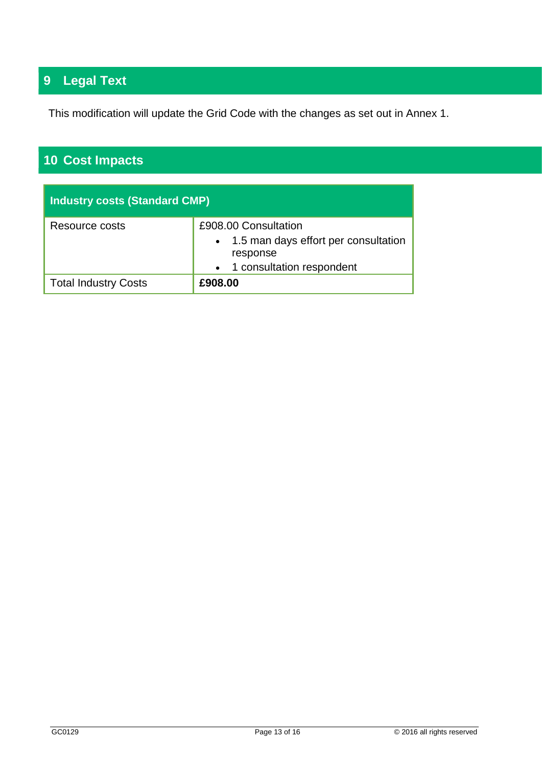# **9 Legal Text**

This modification will update the Grid Code with the changes as set out in Annex 1.

# **10 Cost Impacts**

| Industry costs (Standard CMP) |                                                                                                           |  |
|-------------------------------|-----------------------------------------------------------------------------------------------------------|--|
| Resource costs                | £908.00 Consultation<br>• 1.5 man days effort per consultation<br>response<br>• 1 consultation respondent |  |
| <b>Total Industry Costs</b>   | £908.00                                                                                                   |  |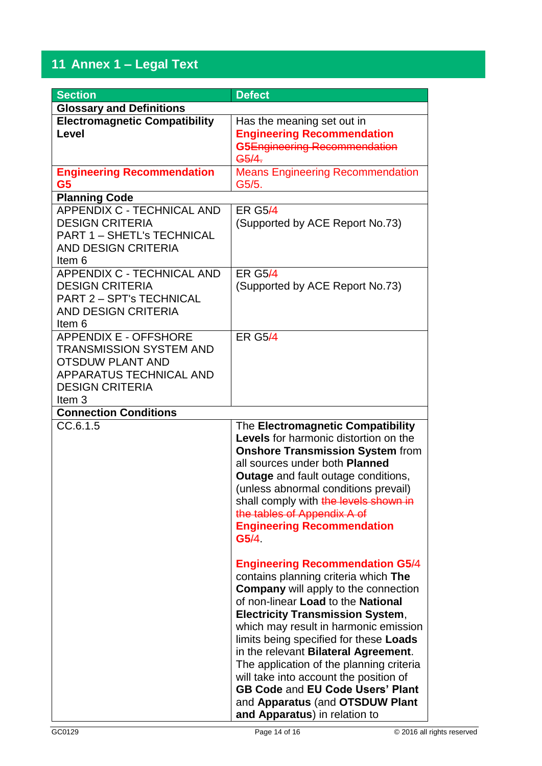## **11 Annex 1 – Legal Text**

| <b>Section</b>                       | <b>Defect</b>                                |
|--------------------------------------|----------------------------------------------|
| <b>Glossary and Definitions</b>      |                                              |
| <b>Electromagnetic Compatibility</b> | Has the meaning set out in                   |
| Level                                | <b>Engineering Recommendation</b>            |
|                                      | G5Engineering Recommendation                 |
|                                      | G5/4.                                        |
| <b>Engineering Recommendation</b>    | <b>Means Engineering Recommendation</b>      |
| G5                                   | G5/5.                                        |
| <b>Planning Code</b>                 |                                              |
| APPENDIX C - TECHNICAL AND           | <b>ER G5/4</b>                               |
| <b>DESIGN CRITERIA</b>               | (Supported by ACE Report No.73)              |
| <b>PART 1 - SHETL'S TECHNICAL</b>    |                                              |
| <b>AND DESIGN CRITERIA</b>           |                                              |
| Item 6                               |                                              |
| <b>APPENDIX C - TECHNICAL AND</b>    | <b>ER G5/4</b>                               |
| <b>DESIGN CRITERIA</b>               | (Supported by ACE Report No.73)              |
| <b>PART 2 - SPT's TECHNICAL</b>      |                                              |
| <b>AND DESIGN CRITERIA</b>           |                                              |
| Item 6                               |                                              |
| <b>APPENDIX E - OFFSHORE</b>         | <b>ER G5/4</b>                               |
| <b>TRANSMISSION SYSTEM AND</b>       |                                              |
| <b>OTSDUW PLANT AND</b>              |                                              |
| APPARATUS TECHNICAL AND              |                                              |
| <b>DESIGN CRITERIA</b>               |                                              |
| Item <sub>3</sub>                    |                                              |
| <b>Connection Conditions</b>         |                                              |
| CC.6.1.5                             | The Electromagnetic Compatibility            |
|                                      | <b>Levels</b> for harmonic distortion on the |
|                                      | <b>Onshore Transmission System from</b>      |
|                                      | all sources under both <b>Planned</b>        |
|                                      | <b>Outage</b> and fault outage conditions,   |
|                                      | (unless abnormal conditions prevail)         |
|                                      | shall comply with the levels shown in        |
|                                      | the tables of Appendix A of                  |
|                                      | <b>Engineering Recommendation</b><br>G5/4    |
|                                      |                                              |
|                                      | <b>Engineering Recommendation G5/4</b>       |
|                                      | contains planning criteria which The         |
|                                      | <b>Company</b> will apply to the connection  |
|                                      | of non-linear Load to the National           |
|                                      | <b>Electricity Transmission System,</b>      |
|                                      | which may result in harmonic emission        |
|                                      | limits being specified for these Loads       |
|                                      | in the relevant Bilateral Agreement.         |
|                                      | The application of the planning criteria     |
|                                      | will take into account the position of       |
|                                      | <b>GB Code and EU Code Users' Plant</b>      |
|                                      | and Apparatus (and OTSDUW Plant              |
|                                      | and Apparatus) in relation to                |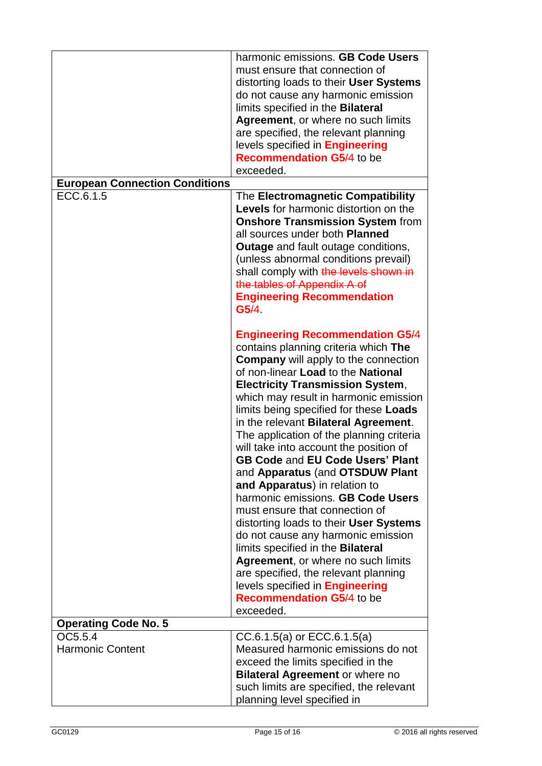|                                       | harmonic emissions. GB Code Users<br>must ensure that connection of<br>distorting loads to their User Systems |
|---------------------------------------|---------------------------------------------------------------------------------------------------------------|
|                                       | do not cause any harmonic emission<br>limits specified in the Bilateral                                       |
|                                       | Agreement, or where no such limits                                                                            |
|                                       | are specified, the relevant planning                                                                          |
|                                       | levels specified in <b>Engineering</b>                                                                        |
|                                       | <b>Recommendation G5/4 to be</b>                                                                              |
|                                       | exceeded.                                                                                                     |
| <b>European Connection Conditions</b> |                                                                                                               |
| ECC.6.1.5                             | The Electromagnetic Compatibility<br>Levels for harmonic distortion on the                                    |
|                                       | <b>Onshore Transmission System from</b><br>all sources under both <b>Planned</b>                              |
|                                       | <b>Outage</b> and fault outage conditions,                                                                    |
|                                       | (unless abnormal conditions prevail)                                                                          |
|                                       | shall comply with the levels shown in                                                                         |
|                                       | the tables of Appendix A of<br><b>Engineering Recommendation</b>                                              |
|                                       | G5/4                                                                                                          |
|                                       |                                                                                                               |
|                                       | <b>Engineering Recommendation G5/4</b>                                                                        |
|                                       | contains planning criteria which The                                                                          |
|                                       | <b>Company</b> will apply to the connection                                                                   |
|                                       | of non-linear Load to the National                                                                            |
|                                       | <b>Electricity Transmission System,</b>                                                                       |
|                                       | which may result in harmonic emission<br>limits being specified for these Loads                               |
|                                       | in the relevant Bilateral Agreement.                                                                          |
|                                       | The application of the planning criteria                                                                      |
|                                       | will take into account the position of                                                                        |
|                                       | GB Code and EU Code Users' Plant                                                                              |
|                                       | and Apparatus (and OTSDUW Plant                                                                               |
|                                       | and Apparatus) in relation to                                                                                 |
|                                       | harmonic emissions. GB Code Users                                                                             |
|                                       | must ensure that connection of                                                                                |
|                                       | distorting loads to their User Systems<br>do not cause any harmonic emission                                  |
|                                       | limits specified in the Bilateral                                                                             |
|                                       | Agreement, or where no such limits                                                                            |
|                                       | are specified, the relevant planning                                                                          |
|                                       | levels specified in <b>Engineering</b>                                                                        |
|                                       | <b>Recommendation G5/4 to be</b>                                                                              |
|                                       | exceeded.                                                                                                     |
| <b>Operating Code No. 5</b>           |                                                                                                               |
| OC5.5.4<br><b>Harmonic Content</b>    | $CC.6.1.5(a)$ or $ECC.6.1.5(a)$<br>Measured harmonic emissions do not                                         |
|                                       | exceed the limits specified in the                                                                            |
|                                       | <b>Bilateral Agreement or where no</b>                                                                        |
|                                       | such limits are specified, the relevant                                                                       |
|                                       | planning level specified in                                                                                   |